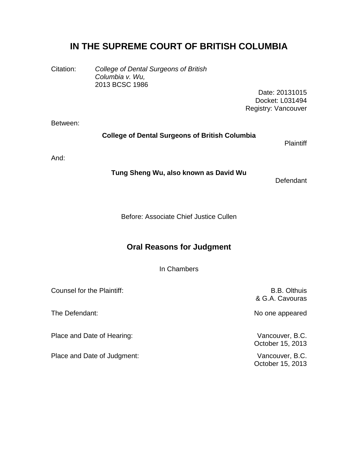## **IN THE SUPREME COURT OF BRITISH COLUMBIA**

Citation: *College of Dental Surgeons of British Columbia v. Wu,* 2013 BCSC 1986

> Date: 20131015 Docket: L031494 Registry: Vancouver

Between:

## **College of Dental Surgeons of British Columbia**

**Plaintiff** 

And:

**Tung Sheng Wu, also known as David Wu**

Defendant

Before: Associate Chief Justice Cullen

## **Oral Reasons for Judgment**

In Chambers

Counsel for the Plaintiff: Counsel of the Plaintiff: Counsel of the B.B. Olthuis & G.A. Cavouras The Defendant: No one appeared Place and Date of Hearing: Vancouver, B.C. October 15, 2013 Place and Date of Judgment: Vancouver, B.C. October 15, 2013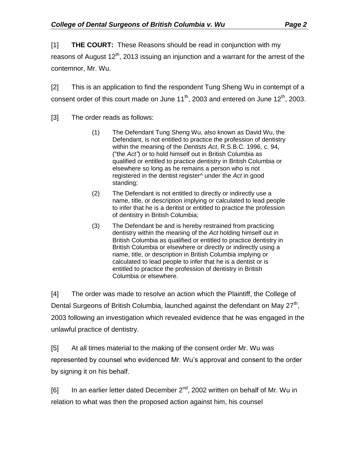[1] **THE COURT:** These Reasons should be read in conjunction with my

reasons of August  $12<sup>th</sup>$ , 2013 issuing an injunction and a warrant for the arrest of the contemnor, Mr. Wu.

[2] This is an application to find the respondent Tung Sheng Wu in contempt of a consent order of this court made on June  $11^{th}$ , 2003 and entered on June  $12^{th}$ . 2003.

- [3] The order reads as follows:
	- (1) The Defendant Tung Sheng Wu, also known as David Wu, the Defendant, is not entitled to practice the profession of dentistry within the meaning of the *Dentists Act*, R.S.B.C. 1996, c. 94, ("the *Act"*) or to hold himself out in British Columbia as qualified or entitled to practice dentistry in British Columbia or elsewhere so long as he remains a person who is not registered in the dentist register^ under the *Act* in good standing;
	- (2) The Defendant is not entitled to directly or indirectly use a name, title, or description implying or calculated to lead people to infer that he is a dentist or entitled to practice the profession of dentistry in British Columbia;
	- (3) The Defendant be and is hereby restrained from practicing dentistry within the meaning of the *Act* holding himself out in British Columbia as qualified or entitled to practice dentistry in British Columbia or elsewhere or directly or indirectly using a name, title, or description in British Columbia implying or calculated to lead people to infer that he is a dentist or is entitled to practice the profession of dentistry in British Columbia or elsewhere.

[4] The order was made to resolve an action which the Plaintiff, the College of Dental Surgeons of British Columbia, launched against the defendant on May  $27<sup>th</sup>$ , 2003 following an investigation which revealed evidence that he was engaged in the unlawful practice of dentistry.

[5] At all times material to the making of the consent order Mr. Wu was represented by counsel who evidenced Mr. Wu's approval and consent to the order by signing it on his behalf.

[6] In an earlier letter dated December  $2^{nd}$ , 2002 written on behalf of Mr. Wu in relation to what was then the proposed action against him, his counsel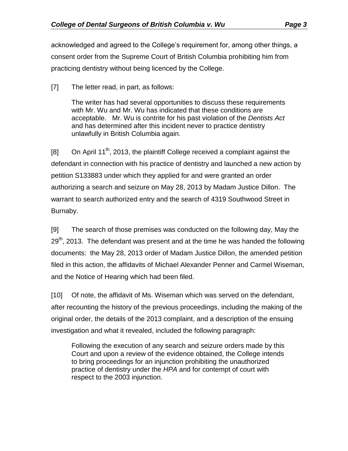acknowledged and agreed to the College's requirement for, among other things, a consent order from the Supreme Court of British Columbia prohibiting him from practicing dentistry without being licenced by the College.

[7] The letter read, in part, as follows:

The writer has had several opportunities to discuss these requirements with Mr. Wu and Mr. Wu has indicated that these conditions are acceptable. Mr. Wu is contrite for his past violation of the *Dentists Act* and has determined after this incident never to practice dentistry unlawfully in British Columbia again.

[8] On April 11<sup>th</sup>, 2013, the plaintiff College received a complaint against the defendant in connection with his practice of dentistry and launched a new action by petition S133883 under which they applied for and were granted an order authorizing a search and seizure on May 28, 2013 by Madam Justice Dillon. The warrant to search authorized entry and the search of 4319 Southwood Street in Burnaby.

[9] The search of those premises was conducted on the following day, May the  $29<sup>th</sup>$ , 2013. The defendant was present and at the time he was handed the following documents: the May 28, 2013 order of Madam Justice Dillon, the amended petition filed in this action, the affidavits of Michael Alexander Penner and Carmel Wiseman, and the Notice of Hearing which had been filed.

[10] Of note, the affidavit of Ms. Wiseman which was served on the defendant, after recounting the history of the previous proceedings, including the making of the original order, the details of the 2013 complaint, and a description of the ensuing investigation and what it revealed, included the following paragraph:

Following the execution of any search and seizure orders made by this Court and upon a review of the evidence obtained, the College intends to bring proceedings for an injunction prohibiting the unauthorized practice of dentistry under the *HPA* and for contempt of court with respect to the 2003 injunction.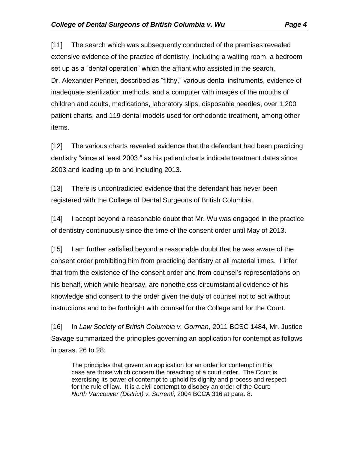[11] The search which was subsequently conducted of the premises revealed extensive evidence of the practice of dentistry, including a waiting room, a bedroom set up as a "dental operation" which the affiant who assisted in the search, Dr. Alexander Penner, described as "filthy," various dental instruments, evidence of inadequate sterilization methods, and a computer with images of the mouths of children and adults, medications, laboratory slips, disposable needles, over 1,200 patient charts, and 119 dental models used for orthodontic treatment, among other items.

[12] The various charts revealed evidence that the defendant had been practicing dentistry "since at least 2003," as his patient charts indicate treatment dates since 2003 and leading up to and including 2013.

[13] There is uncontradicted evidence that the defendant has never been registered with the College of Dental Surgeons of British Columbia.

[14] I accept beyond a reasonable doubt that Mr. Wu was engaged in the practice of dentistry continuously since the time of the consent order until May of 2013.

[15] I am further satisfied beyond a reasonable doubt that he was aware of the consent order prohibiting him from practicing dentistry at all material times. I infer that from the existence of the consent order and from counsel's representations on his behalf, which while hearsay, are nonetheless circumstantial evidence of his knowledge and consent to the order given the duty of counsel not to act without instructions and to be forthright with counsel for the College and for the Court.

[16] In *Law Society of British Columbia v. Gorman,* 2011 BCSC 1484, Mr. Justice Savage summarized the principles governing an application for contempt as follows in paras. 26 to 28:

The principles that govern an application for an order for contempt in this case are those which concern the breaching of a court order. The Court is exercising its power of contempt to uphold its dignity and process and respect for the rule of law. It is a civil contempt to disobey an order of the Court: *North Vancouver (District) v. Sorrenti*, 2004 BCCA 316 at para. 8.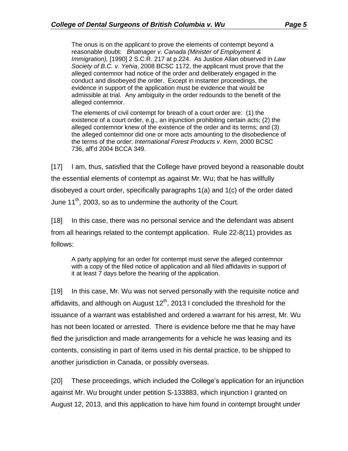The onus is on the applicant to prove the elements of contempt beyond a reasonable doubt: *Bhatnager v. Canada (Minister of Employment & Immigration),* [1990] 2 S.C.R. 217 at p.224. As Justice Allan observed in *Law Society of B.C. v. Yehia*, 2008 BCSC 1172, the applicant must prove that the alleged contemnor had notice of the order and deliberately engaged in the conduct and disobeyed the order. Except in instanter proceedings, the evidence in support of the application must be evidence that would be admissible at trial. Any ambiguity in the order redounds to the benefit of the alleged contemnor.

The elements of civil contempt for breach of a court order are: (1) the existence of a court order, e.g., an injunction prohibiting certain acts; (2) the alleged contemnor knew of the existence of the order and its terms; and (3) the alleged contemnor did one or more acts amounting to the disobedience of the terms of the order: *International Forest Products v. Kern*, 2000 BCSC 736, aff'd 2004 BCCA 349.

[17] I am, thus, satisfied that the College have proved beyond a reasonable doubt the essential elements of contempt as against Mr. Wu; that he has willfully disobeyed a court order, specifically paragraphs 1(a) and 1(c) of the order dated June 11<sup>th</sup>, 2003, so as to undermine the authority of the Court.

[18] In this case, there was no personal service and the defendant was absent from all hearings related to the contempt application. Rule 22-8(11) provides as follows:

A party applying for an order for contempt must serve the alleged contemnor with a copy of the filed notice of application and all filed affidavits in support of it at least 7 days before the hearing of the application.

[19] In this case, Mr. Wu was not served personally with the requisite notice and affidavits, and although on August  $12<sup>th</sup>$ , 2013 I concluded the threshold for the issuance of a warrant was established and ordered a warrant for his arrest, Mr. Wu has not been located or arrested. There is evidence before me that he may have fled the jurisdiction and made arrangements for a vehicle he was leasing and its contents, consisting in part of items used in his dental practice, to be shipped to another jurisdiction in Canada, or possibly overseas.

[20] These proceedings, which included the College's application for an injunction against Mr. Wu brought under petition S-133883, which injunction I granted on August 12, 2013, and this application to have him found in contempt brought under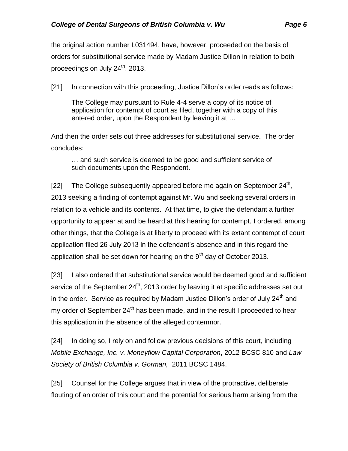the original action number L031494, have, however, proceeded on the basis of orders for substitutional service made by Madam Justice Dillon in relation to both proceedings on July  $24^{\text{th}}$ , 2013.

[21] In connection with this proceeding, Justice Dillon's order reads as follows:

The College may pursuant to Rule 4-4 serve a copy of its notice of application for contempt of court as filed, together with a copy of this entered order, upon the Respondent by leaving it at …

And then the order sets out three addresses for substitutional service. The order concludes:

… and such service is deemed to be good and sufficient service of such documents upon the Respondent.

[22] The College subsequently appeared before me again on September  $24<sup>th</sup>$ , 2013 seeking a finding of contempt against Mr. Wu and seeking several orders in relation to a vehicle and its contents. At that time, to give the defendant a further opportunity to appear at and be heard at this hearing for contempt, I ordered, among other things, that the College is at liberty to proceed with its extant contempt of court application filed 26 July 2013 in the defendant's absence and in this regard the application shall be set down for hearing on the  $9<sup>th</sup>$  day of October 2013.

[23] I also ordered that substitutional service would be deemed good and sufficient service of the September  $24<sup>th</sup>$ , 2013 order by leaving it at specific addresses set out in the order. Service as required by Madam Justice Dillon's order of July  $24<sup>th</sup>$  and my order of September  $24<sup>th</sup>$  has been made, and in the result I proceeded to hear this application in the absence of the alleged contemnor.

[24] In doing so, I rely on and follow previous decisions of this court, including *Mobile Exchange, Inc. v. Moneyflow Capital Corporation*, 2012 BCSC 810 and *Law Society of British Columbia v. Gorman,* 2011 BCSC 1484.

[25] Counsel for the College argues that in view of the protractive, deliberate flouting of an order of this court and the potential for serious harm arising from the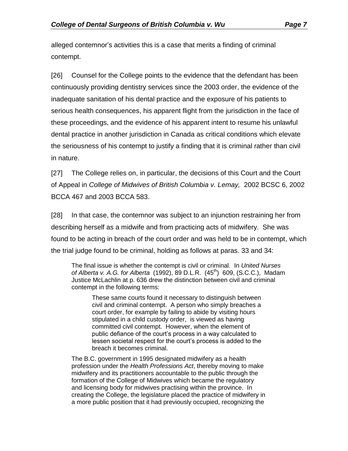alleged contemnor's activities this is a case that merits a finding of criminal contempt.

[26] Counsel for the College points to the evidence that the defendant has been continuously providing dentistry services since the 2003 order, the evidence of the inadequate sanitation of his dental practice and the exposure of his patients to serious health consequences, his apparent flight from the jurisdiction in the face of these proceedings, and the evidence of his apparent intent to resume his unlawful dental practice in another jurisdiction in Canada as critical conditions which elevate the seriousness of his contempt to justify a finding that it is criminal rather than civil in nature.

[27] The College relies on, in particular, the decisions of this Court and the Court of Appeal in *College of Midwives of British Columbia v. Lemay,* 2002 BCSC 6, 2002 BCCA 467 and 2003 BCCA 583.

[28] In that case, the contemnor was subject to an injunction restraining her from describing herself as a midwife and from practicing acts of midwifery. She was found to be acting in breach of the court order and was held to be in contempt, which the trial judge found to be criminal, holding as follows at paras. 33 and 34:

The final issue is whether the contempt is civil or criminal. In *United Nurses of Alberta v. A.G. for Alberta* (1992), 89 D.L.R. (45 th) 609, (S.C.C.), Madam Justice McLachlin at p. 636 drew the distinction between civil and criminal contempt in the following terms:

These same courts found it necessary to distinguish between civil and criminal contempt. A person who simply breaches a court order, for example by failing to abide by visiting hours stipulated in a child custody order, is viewed as having committed civil contempt. However, when the element of public defiance of the court's process in a way calculated to lessen societal respect for the court's process is added to the breach it becomes criminal.

The B.C. government in 1995 designated midwifery as a health profession under the *Health Professions Act*, thereby moving to make midwifery and its practitioners accountable to the public through the formation of the College of Midwives which became the regulatory and licensing body for midwives practising within the province. In creating the College, the legislature placed the practice of midwifery in a more public position that it had previously occupied, recognizing the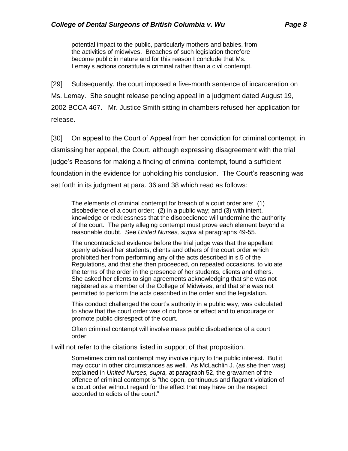potential impact to the public, particularly mothers and babies, from the activities of midwives. Breaches of such legislation therefore become public in nature and for this reason I conclude that Ms. Lemay's actions constitute a criminal rather than a civil contempt.

[29] Subsequently, the court imposed a five-month sentence of incarceration on Ms. Lemay. She sought release pending appeal in a judgment dated August 19, 2002 BCCA 467. Mr. Justice Smith sitting in chambers refused her application for release.

[30] On appeal to the Court of Appeal from her conviction for criminal contempt, in dismissing her appeal, the Court, although expressing disagreement with the trial judge's Reasons for making a finding of criminal contempt, found a sufficient foundation in the evidence for upholding his conclusion. The Court's reasoning was set forth in its judgment at para. 36 and 38 which read as follows:

The elements of criminal contempt for breach of a court order are: (1) disobedience of a court order; (2) in a public way; and (3) with intent, knowledge or recklessness that the disobedience will undermine the authority of the court. The party alleging contempt must prove each element beyond a reasonable doubt. See *United Nurses, supra* at paragraphs 49-55.

The uncontradicted evidence before the trial judge was that the appellant openly advised her students, clients and others of the court order which prohibited her from performing any of the acts described in s.5 of the Regulations, and that she then proceeded, on repeated occasions, to violate the terms of the order in the presence of her students, clients and others. She asked her clients to sign agreements acknowledging that she was not registered as a member of the College of Midwives, and that she was not permitted to perform the acts described in the order and the legislation.

This conduct challenged the court's authority in a public way, was calculated to show that the court order was of no force or effect and to encourage or promote public disrespect of the court.

Often criminal contempt will involve mass public disobedience of a court order:

I will not refer to the citations listed in support of that proposition.

Sometimes criminal contempt may involve injury to the public interest. But it may occur in other circumstances as well. As McLachlin J. (as she then was) explained in *United Nurses, supra,* at paragraph 52, the gravamen of the offence of criminal contempt is "the open, continuous and flagrant violation of a court order without regard for the effect that may have on the respect accorded to edicts of the court."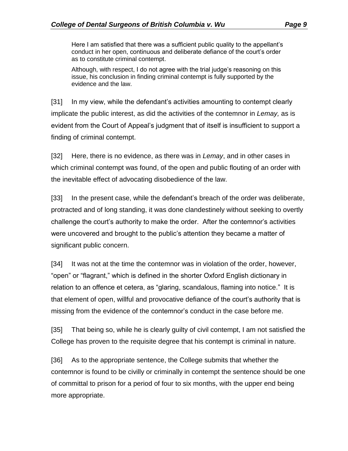Here I am satisfied that there was a sufficient public quality to the appellant's conduct in her open, continuous and deliberate defiance of the court's order as to constitute criminal contempt.

Although, with respect, I do not agree with the trial judge's reasoning on this issue, his conclusion in finding criminal contempt is fully supported by the evidence and the law.

[31] In my view, while the defendant's activities amounting to contempt clearly implicate the public interest, as did the activities of the contemnor in *Lemay,* as is evident from the Court of Appeal's judgment that of itself is insufficient to support a finding of criminal contempt.

[32] Here, there is no evidence, as there was in *Lemay*, and in other cases in which criminal contempt was found, of the open and public flouting of an order with the inevitable effect of advocating disobedience of the law.

[33] In the present case, while the defendant's breach of the order was deliberate, protracted and of long standing, it was done clandestinely without seeking to overtly challenge the court's authority to make the order. After the contemnor's activities were uncovered and brought to the public's attention they became a matter of significant public concern.

[34] It was not at the time the contemnor was in violation of the order, however, "open" or "flagrant," which is defined in the shorter Oxford English dictionary in relation to an offence et cetera, as "glaring, scandalous, flaming into notice." It is that element of open, willful and provocative defiance of the court's authority that is missing from the evidence of the contemnor's conduct in the case before me.

[35] That being so, while he is clearly guilty of civil contempt, I am not satisfied the College has proven to the requisite degree that his contempt is criminal in nature.

[36] As to the appropriate sentence, the College submits that whether the contemnor is found to be civilly or criminally in contempt the sentence should be one of committal to prison for a period of four to six months, with the upper end being more appropriate.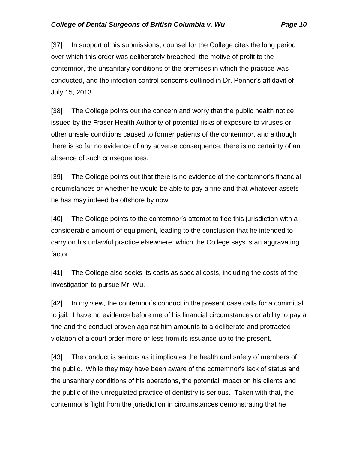[37] In support of his submissions, counsel for the College cites the long period over which this order was deliberately breached, the motive of profit to the contemnor, the unsanitary conditions of the premises in which the practice was conducted, and the infection control concerns outlined in Dr. Penner's affidavit of July 15, 2013.

[38] The College points out the concern and worry that the public health notice issued by the Fraser Health Authority of potential risks of exposure to viruses or other unsafe conditions caused to former patients of the contemnor, and although there is so far no evidence of any adverse consequence, there is no certainty of an absence of such consequences.

[39] The College points out that there is no evidence of the contemnor's financial circumstances or whether he would be able to pay a fine and that whatever assets he has may indeed be offshore by now.

[40] The College points to the contemnor's attempt to flee this jurisdiction with a considerable amount of equipment, leading to the conclusion that he intended to carry on his unlawful practice elsewhere, which the College says is an aggravating factor.

[41] The College also seeks its costs as special costs, including the costs of the investigation to pursue Mr. Wu.

[42] In my view, the contemnor's conduct in the present case calls for a committal to jail. I have no evidence before me of his financial circumstances or ability to pay a fine and the conduct proven against him amounts to a deliberate and protracted violation of a court order more or less from its issuance up to the present.

[43] The conduct is serious as it implicates the health and safety of members of the public. While they may have been aware of the contemnor's lack of status and the unsanitary conditions of his operations, the potential impact on his clients and the public of the unregulated practice of dentistry is serious. Taken with that, the contemnor's flight from the jurisdiction in circumstances demonstrating that he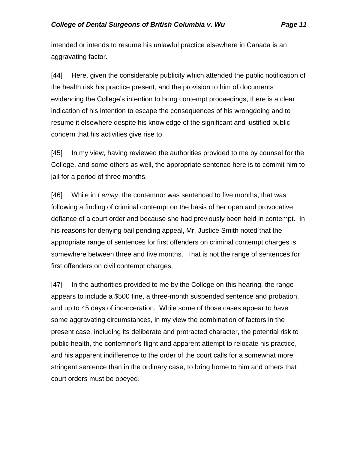intended or intends to resume his unlawful practice elsewhere in Canada is an aggravating factor.

[44] Here, given the considerable publicity which attended the public notification of the health risk his practice present, and the provision to him of documents evidencing the College's intention to bring contempt proceedings, there is a clear indication of his intention to escape the consequences of his wrongdoing and to resume it elsewhere despite his knowledge of the significant and justified public concern that his activities give rise to.

[45] In my view, having reviewed the authorities provided to me by counsel for the College, and some others as well, the appropriate sentence here is to commit him to jail for a period of three months.

[46] While in *Lemay*, the contemnor was sentenced to five months, that was following a finding of criminal contempt on the basis of her open and provocative defiance of a court order and because she had previously been held in contempt. In his reasons for denying bail pending appeal, Mr. Justice Smith noted that the appropriate range of sentences for first offenders on criminal contempt charges is somewhere between three and five months. That is not the range of sentences for first offenders on civil contempt charges.

[47] In the authorities provided to me by the College on this hearing, the range appears to include a \$500 fine, a three-month suspended sentence and probation, and up to 45 days of incarceration. While some of those cases appear to have some aggravating circumstances, in my view the combination of factors in the present case, including its deliberate and protracted character, the potential risk to public health, the contemnor's flight and apparent attempt to relocate his practice, and his apparent indifference to the order of the court calls for a somewhat more stringent sentence than in the ordinary case, to bring home to him and others that court orders must be obeyed.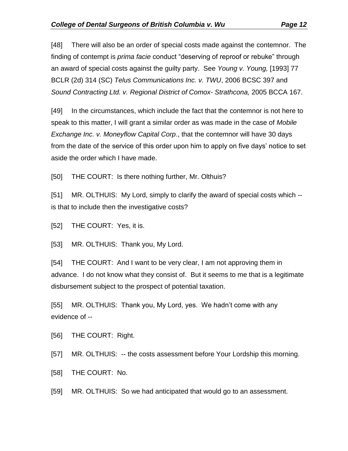[48] There will also be an order of special costs made against the contemnor. The finding of contempt is *prima facie* conduct "deserving of reproof or rebuke" through an award of special costs against the guilty party. See *Young v. Young,* [1993] 77 BCLR (2d) 314 (SC) *Telus Communications Inc. v. TWU*, 2006 BCSC 397 and *Sound Contracting Ltd. v. Regional District of Comox- Strathcona,* 2005 BCCA 167.

[49] In the circumstances, which include the fact that the contemnor is not here to speak to this matter, I will grant a similar order as was made in the case of *Mobile Exchange Inc. v. Moneyflow Capital Corp*., that the contemnor will have 30 days from the date of the service of this order upon him to apply on five days' notice to set aside the order which I have made.

[50] THE COURT: Is there nothing further, Mr. Olthuis?

[51] MR. OLTHUIS: My Lord, simply to clarify the award of special costs which - is that to include then the investigative costs?

[52] THE COURT: Yes, it is.

[53] MR. OLTHUIS: Thank you, My Lord.

[54] THE COURT: And I want to be very clear, I am not approving them in advance. I do not know what they consist of. But it seems to me that is a legitimate disbursement subject to the prospect of potential taxation.

[55] MR. OLTHUIS: Thank you, My Lord, yes. We hadn't come with any evidence of --

[56] THE COURT: Right.

[57] MR. OLTHUIS: -- the costs assessment before Your Lordship this morning.

[58] THE COURT: No.

[59] MR. OLTHUIS: So we had anticipated that would go to an assessment.